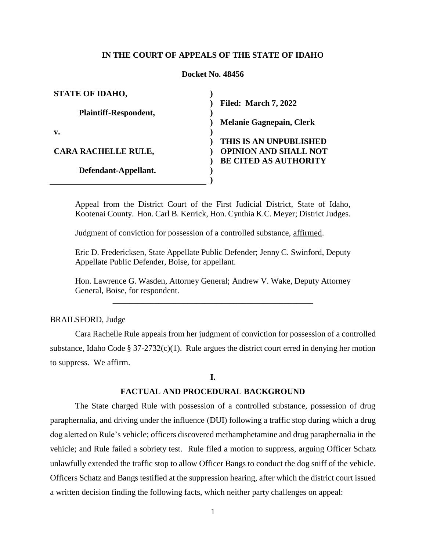## **IN THE COURT OF APPEALS OF THE STATE OF IDAHO**

## **Docket No. 48456**

| <b>STATE OF IDAHO,</b>       |                                 |
|------------------------------|---------------------------------|
|                              | <b>Filed: March 7, 2022</b>     |
| <b>Plaintiff-Respondent,</b> |                                 |
|                              | <b>Melanie Gagnepain, Clerk</b> |
| v.                           |                                 |
|                              | THIS IS AN UNPUBLISHED          |
| <b>CARA RACHELLE RULE,</b>   | <b>OPINION AND SHALL NOT</b>    |
|                              | <b>BE CITED AS AUTHORITY</b>    |
| Defendant-Appellant.         |                                 |
|                              |                                 |

Appeal from the District Court of the First Judicial District, State of Idaho, Kootenai County. Hon. Carl B. Kerrick, Hon. Cynthia K.C. Meyer; District Judges.

Judgment of conviction for possession of a controlled substance, affirmed.

Eric D. Fredericksen, State Appellate Public Defender; Jenny C. Swinford, Deputy Appellate Public Defender, Boise, for appellant.

Hon. Lawrence G. Wasden, Attorney General; Andrew V. Wake, Deputy Attorney General, Boise, for respondent. \_\_\_\_\_\_\_\_\_\_\_\_\_\_\_\_\_\_\_\_\_\_\_\_\_\_\_\_\_\_\_\_\_\_\_\_\_\_\_\_\_\_\_\_\_\_\_\_

# BRAILSFORD, Judge

Cara Rachelle Rule appeals from her judgment of conviction for possession of a controlled substance, Idaho Code §  $37-2732(c)(1)$ . Rule argues the district court erred in denying her motion to suppress. We affirm.

## **I.**

## **FACTUAL AND PROCEDURAL BACKGROUND**

The State charged Rule with possession of a controlled substance, possession of drug paraphernalia, and driving under the influence (DUI) following a traffic stop during which a drug dog alerted on Rule's vehicle; officers discovered methamphetamine and drug paraphernalia in the vehicle; and Rule failed a sobriety test. Rule filed a motion to suppress, arguing Officer Schatz unlawfully extended the traffic stop to allow Officer Bangs to conduct the dog sniff of the vehicle. Officers Schatz and Bangs testified at the suppression hearing, after which the district court issued a written decision finding the following facts, which neither party challenges on appeal: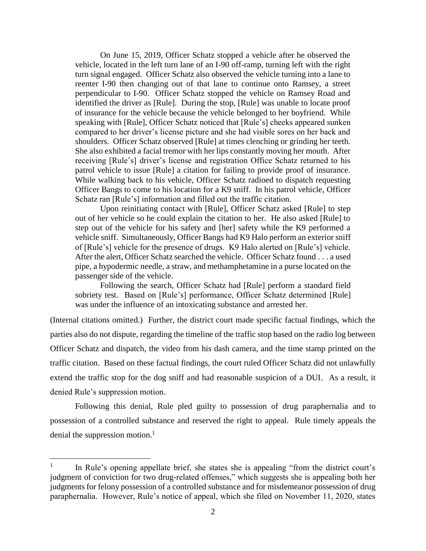On June 15, 2019, Officer Schatz stopped a vehicle after he observed the vehicle, located in the left turn lane of an I-90 off-ramp, turning left with the right turn signal engaged. Officer Schatz also observed the vehicle turning into a lane to reenter I-90 then changing out of that lane to continue onto Ramsey, a street perpendicular to I-90. Officer Schatz stopped the vehicle on Ramsey Road and identified the driver as [Rule]. During the stop, [Rule] was unable to locate proof of insurance for the vehicle because the vehicle belonged to her boyfriend. While speaking with [Rule], Officer Schatz noticed that [Rule's] cheeks appeared sunken compared to her driver's license picture and she had visible sores on her back and shoulders. Officer Schatz observed [Rule] at times clenching or grinding her teeth. She also exhibited a facial tremor with her lips constantly moving her mouth. After receiving [Rule's] driver's license and registration Office Schatz returned to his patrol vehicle to issue [Rule] a citation for failing to provide proof of insurance. While walking back to his vehicle, Officer Schatz radioed to dispatch requesting Officer Bangs to come to his location for a K9 sniff. In his patrol vehicle, Officer Schatz ran [Rule's] information and filled out the traffic citation.

Upon reinitiating contact with [Rule], Officer Schatz asked [Rule] to step out of her vehicle so he could explain the citation to her. He also asked [Rule] to step out of the vehicle for his safety and [her] safety while the K9 performed a vehicle sniff. Simultaneously, Officer Bangs had K9 Halo perform an exterior sniff of [Rule's] vehicle for the presence of drugs. K9 Halo alerted on [Rule's] vehicle. After the alert, Officer Schatz searched the vehicle. Officer Schatz found . . . a used pipe, a hypodermic needle, a straw, and methamphetamine in a purse located on the passenger side of the vehicle.

Following the search, Officer Schatz had [Rule] perform a standard field sobriety test. Based on [Rule's] performance, Officer Schatz determined [Rule] was under the influence of an intoxicating substance and arrested her.

(Internal citations omitted.) Further, the district court made specific factual findings, which the parties also do not dispute, regarding the timeline of the traffic stop based on the radio log between Officer Schatz and dispatch, the video from his dash camera, and the time stamp printed on the traffic citation. Based on these factual findings, the court ruled Officer Schatz did not unlawfully extend the traffic stop for the dog sniff and had reasonable suspicion of a DUI. As a result, it denied Rule's suppression motion.

Following this denial, Rule pled guilty to possession of drug paraphernalia and to possession of a controlled substance and reserved the right to appeal. Rule timely appeals the denial the suppression motion. 1

 $\overline{a}$ 

<sup>1</sup> In Rule's opening appellate brief, she states she is appealing "from the district court's judgment of conviction for two drug-related offenses," which suggests she is appealing both her judgments for felony possession of a controlled substance and for misdemeanor possession of drug paraphernalia. However, Rule's notice of appeal, which she filed on November 11, 2020, states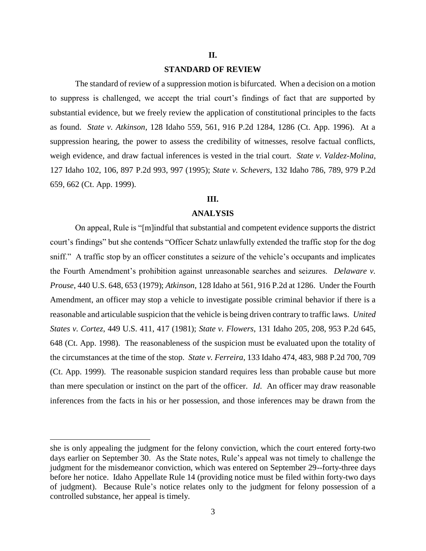## **II.**

## **STANDARD OF REVIEW**

The standard of review of a suppression motion is bifurcated. When a decision on a motion to suppress is challenged, we accept the trial court's findings of fact that are supported by substantial evidence, but we freely review the application of constitutional principles to the facts as found. *State v. Atkinson*, 128 Idaho 559, 561, 916 P.2d 1284, 1286 (Ct. App. 1996). At a suppression hearing, the power to assess the credibility of witnesses, resolve factual conflicts, weigh evidence, and draw factual inferences is vested in the trial court. *State v. Valdez-Molina*, 127 Idaho 102, 106, 897 P.2d 993, 997 (1995); *State v. Schevers*, 132 Idaho 786, 789, 979 P.2d 659, 662 (Ct. App. 1999).

# **III.**

#### **ANALYSIS**

On appeal, Rule is "[m]indful that substantial and competent evidence supports the district court's findings" but she contends "Officer Schatz unlawfully extended the traffic stop for the dog sniff." A traffic stop by an officer constitutes a seizure of the vehicle's occupants and implicates the Fourth Amendment's prohibition against unreasonable searches and seizures. *Delaware v. Prouse*, 440 U.S. 648, 653 (1979); *Atkinson*, 128 Idaho at 561, 916 P.2d at 1286. Under the Fourth Amendment, an officer may stop a vehicle to investigate possible criminal behavior if there is a reasonable and articulable suspicion that the vehicle is being driven contrary to traffic laws. *United States v. Cortez*, 449 U.S. 411, 417 (1981); *State v. Flowers*, 131 Idaho 205, 208, 953 P.2d 645, 648 (Ct. App. 1998). The reasonableness of the suspicion must be evaluated upon the totality of the circumstances at the time of the stop. *State v. Ferreira*, 133 Idaho 474, 483, 988 P.2d 700, 709 (Ct. App. 1999). The reasonable suspicion standard requires less than probable cause but more than mere speculation or instinct on the part of the officer. *Id*. An officer may draw reasonable inferences from the facts in his or her possession, and those inferences may be drawn from the

 $\overline{a}$ 

she is only appealing the judgment for the felony conviction, which the court entered forty-two days earlier on September 30. As the State notes, Rule's appeal was not timely to challenge the judgment for the misdemeanor conviction, which was entered on September 29--forty-three days before her notice. Idaho Appellate Rule 14 (providing notice must be filed within forty-two days of judgment). Because Rule's notice relates only to the judgment for felony possession of a controlled substance, her appeal is timely.